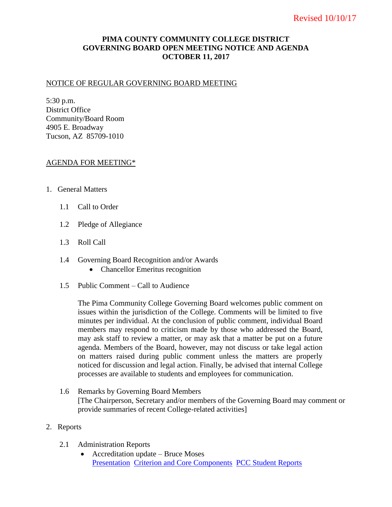# **PIMA COUNTY COMMUNITY COLLEGE DISTRICT GOVERNING BOARD OPEN MEETING NOTICE AND AGENDA OCTOBER 11, 2017**

### NOTICE OF REGULAR GOVERNING BOARD MEETING

5:30 p.m. District Office Community/Board Room 4905 E. Broadway Tucson, AZ 85709-1010

### AGENDA FOR MEETING\*

- 1. General Matters
	- 1.1 Call to Order
	- 1.2 Pledge of Allegiance
	- 1.3 Roll Call
	- 1.4 Governing Board Recognition and/or Awards
		- Chancellor Emeritus recognition
	- 1.5 Public Comment Call to Audience

The Pima Community College Governing Board welcomes public comment on issues within the jurisdiction of the College. Comments will be limited to five minutes per individual. At the conclusion of public comment, individual Board members may respond to criticism made by those who addressed the Board, may ask staff to review a matter, or may ask that a matter be put on a future agenda. Members of the Board, however, may not discuss or take legal action on matters raised during public comment unless the matters are properly noticed for discussion and legal action. Finally, be advised that internal College processes are available to students and employees for communication.

1.6 Remarks by Governing Board Members [The Chairperson, Secretary and/or members of the Governing Board may comment or provide summaries of recent College-related activities]

#### 2. Reports

- 2.1 Administration Reports
	- Accreditation update Bruce Moses [Presentation](https://www.pima.edu/meeting-notices-support/2017-docs/201710-11-admin-report-accreditation.pdf) [Criterion and Core Components](https://docs.google.com/spreadsheets/d/1v6ssoGKq1vsM2-UJWOlLsdPQ09xVS20ARvQOFEhst0k/edit?usp=sharing) [PCC Student Reports](https://www.pima.edu/about-pima/reports/student-reports/index.html)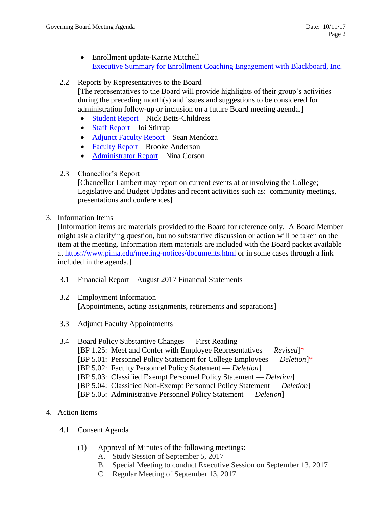Enrollment update-Karrie Mitchell [Executive Summary for Enrollment Coaching Engagement with Blackboard, Inc.](https://www.pima.edu/meeting-notices-support/2017-docs/201710-11-admin-report-enrollment-coaching.pdf)

### 2.2 Reports by Representatives to the Board

[The representatives to the Board will provide highlights of their group's activities during the preceding month(s) and issues and suggestions to be considered for administration follow-up or inclusion on a future Board meeting agenda.]

- [Student Report](https://www.pima.edu/meeting-notices-support/2017-docs/201710-11-report-student-life.pdf) Nick Betts-Childress
- $\bullet$  [Staff Report](https://www.pima.edu/meeting-notices-support/2017-docs/201710-11-report-staff-council.pdf) Joi Stirrup
- [Adjunct Faculty Report](https://www.pima.edu/meeting-notices-support/2017-docs/201710-11-report-adjunct-faculty.pdf) Sean Mendoza
- [Faculty Report](https://www.pima.edu/meeting-notices-support/2017-docs/201710-11-report-faculty.pdf) Brooke Anderson
- [Administrator Report](https://www.pima.edu/meeting-notices-support/2017-docs/201710-11-report-administrator.pdf) Nina Corson
- 2.3 Chancellor's Report

[Chancellor Lambert may report on current events at or involving the College; Legislative and Budget Updates and recent activities such as: community meetings, presentations and conferences]

3. Information Items

[Information items are materials provided to the Board for reference only. A Board Member might ask a clarifying question, but no substantive discussion or action will be taken on the item at the meeting. Information item materials are included with the Board packet available at <https://www.pima.edu/meeting-notices/documents.html> or in some cases through a link included in the agenda.]

- 3.1 Financial Report August 2017 Financial Statements
- 3.2 Employment Information [Appointments, acting assignments, retirements and separations]
- 3.3 Adjunct Faculty Appointments
- 3.4 Board Policy Substantive Changes First Reading [BP 1.25: Meet and Confer with Employee Representatives — *Revised*]\* [BP 5.01: Personnel Policy Statement for College Employees — *Deletion*]\* [BP 5.02: Faculty Personnel Policy Statement — *Deletion*] [BP 5.03: Classified Exempt Personnel Policy Statement — *Deletion*] [BP 5.04: Classified Non-Exempt Personnel Policy Statement — *Deletion*] [BP 5.05: Administrative Personnel Policy Statement — *Deletion*]
- 4. Action Items
	- 4.1 Consent Agenda
		- (1) Approval of Minutes of the following meetings:
			- A. Study Session of September 5, 2017
			- B. Special Meeting to conduct Executive Session on September 13, 2017
			- C. Regular Meeting of September 13, 2017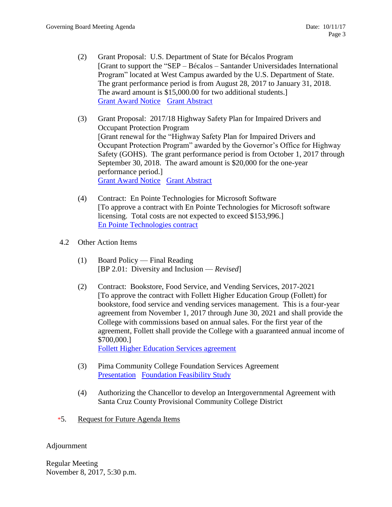- (2) Grant Proposal: U.S. Department of State for Bécalos Program [Grant to support the "SEP – Bécalos – Santander Universidades International Program" located at West Campus awarded by the U.S. Department of State. The grant performance period is from August 28, 2017 to January 31, 2018. The award amount is \$15,000.00 for two additional students.] [Grant Award Notice](http://www.pima.edu/meeting-notices-support/2017-docs/201710-11-4-1-2-a-award-becalos-grant.pdf) [Grant Abstract](http://www.pima.edu/meeting-notices-support/2017-docs/201710-11-4-1-2b-becalos-2017-abstract.pdf)
- (3) Grant Proposal: 2017/18 Highway Safety Plan for Impaired Drivers and Occupant Protection Program [Grant renewal for the "Highway Safety Plan for Impaired Drivers and Occupant Protection Program" awarded by the Governor's Office for Highway Safety (GOHS). The grant performance period is from October 1, 2017 through September 30, 2018. The award amount is \$20,000 for the one-year performance period.] [Grant Award Notice](http://www.pima.edu/meeting-notices-support/2017-docs/201710-11-4-1-3a-award-gohs-for-duienforcement.pdf) [Grant Abstract](http://www.pima.edu/meeting-notices-support/2017-docs/201710-11-4-1-3b-gohs-dui-2017-abstract.pdf)
- (4) Contract: En Pointe Technologies for Microsoft Software [To approve a contract with En Pointe Technologies for Microsoft software licensing. Total costs are not expected to exceed \$153,996.] [En Pointe Technologies contract](https://www.pima.edu/meeting-notices-support/2017-docs/201710-11-enpoint-technologies-agreement.pdf)
- 4.2 Other Action Items
	- (1) Board Policy Final Reading [BP 2.01: Diversity and Inclusion — *Revised*]
	- (2) Contract: Bookstore, Food Service, and Vending Services, 2017-2021 [To approve the contract with Follett Higher Education Group (Follett) for bookstore, food service and vending services management. This is a four-year agreement from November 1, 2017 through June 30, 2021 and shall provide the College with commissions based on annual sales. For the first year of the agreement, Follett shall provide the College with a guaranteed annual income of \$700,000.] [Follett Higher Education Services agreement](https://www.pima.edu/meeting-notices-support/2017-docs/201710-11-pcc-follett-bookstore-food-service-agreement.pdf)
	- (3) Pima Community College Foundation Services Agreement [Presentation](https://www.pima.edu/meeting-notices-support/2017-docs/201710-11-4-2-3d-foundation-presentation.pdf) [Foundation Feasibility Study](https://www.pima.edu/meeting-notices-support/2017-docs/201710-11-4-2-3c-feasibility-study.pdf)
	- (4) Authorizing the Chancellor to develop an Intergovernmental Agreement with Santa Cruz County Provisional Community College District
- \*5. Request for Future Agenda Items

## Adjournment

Regular Meeting November 8, 2017, 5:30 p.m.